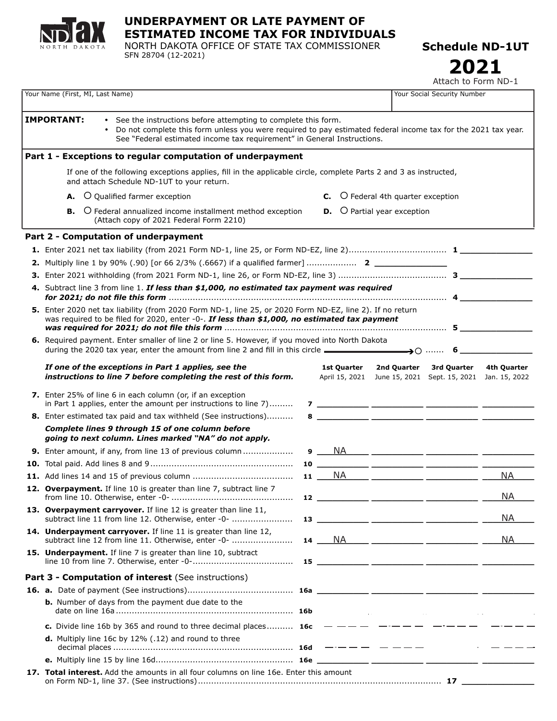

# **UNDERPAYMENT OR LATE PAYMENT OF ESTIMATED INCOME TAX FOR INDIVIDUALS**

NORTH DAKOTA OFFICE OF STATE TAX COMMISSIONER SFN 28704 (12-2021)

**Schedule ND-1UT**

**2021**

Attach to Form ND-1

| Your Name (First, MI, Last Name)                                                                                                                                                                                                                                                              |                                                                                                                                                                                                          |  |  |                               |                                             | Your Social Security Number                 |                              |  |
|-----------------------------------------------------------------------------------------------------------------------------------------------------------------------------------------------------------------------------------------------------------------------------------------------|----------------------------------------------------------------------------------------------------------------------------------------------------------------------------------------------------------|--|--|-------------------------------|---------------------------------------------|---------------------------------------------|------------------------------|--|
| <b>IMPORTANT:</b><br>• See the instructions before attempting to complete this form.<br>Do not complete this form unless you were required to pay estimated federal income tax for the 2021 tax year.<br>$\bullet$<br>See "Federal estimated income tax requirement" in General Instructions. |                                                                                                                                                                                                          |  |  |                               |                                             |                                             |                              |  |
|                                                                                                                                                                                                                                                                                               | Part 1 - Exceptions to regular computation of underpayment                                                                                                                                               |  |  |                               |                                             |                                             |                              |  |
|                                                                                                                                                                                                                                                                                               | If one of the following exceptions applies, fill in the applicable circle, complete Parts 2 and 3 as instructed,<br>and attach Schedule ND-1UT to your return.                                           |  |  |                               |                                             |                                             |                              |  |
|                                                                                                                                                                                                                                                                                               | O Qualified farmer exception<br>А.                                                                                                                                                                       |  |  |                               | <b>C.</b> O Federal 4th quarter exception   |                                             |                              |  |
|                                                                                                                                                                                                                                                                                               | O Federal annualized income installment method exception<br>В.<br>(Attach copy of 2021 Federal Form 2210)                                                                                                |  |  |                               | <b>D.</b> $\bigcirc$ Partial year exception |                                             |                              |  |
|                                                                                                                                                                                                                                                                                               | Part 2 - Computation of underpayment                                                                                                                                                                     |  |  |                               |                                             |                                             |                              |  |
|                                                                                                                                                                                                                                                                                               |                                                                                                                                                                                                          |  |  |                               |                                             |                                             |                              |  |
|                                                                                                                                                                                                                                                                                               |                                                                                                                                                                                                          |  |  |                               |                                             |                                             |                              |  |
|                                                                                                                                                                                                                                                                                               |                                                                                                                                                                                                          |  |  |                               |                                             |                                             |                              |  |
|                                                                                                                                                                                                                                                                                               | 4. Subtract line 3 from line 1. If less than \$1,000, no estimated tax payment was required                                                                                                              |  |  |                               |                                             |                                             |                              |  |
|                                                                                                                                                                                                                                                                                               | 5. Enter 2020 net tax liability (from 2020 Form ND-1, line 25, or 2020 Form ND-EZ, line 2). If no return<br>was required to be filed for 2020, enter -0-. If less than \$1,000, no estimated tax payment |  |  |                               |                                             |                                             |                              |  |
|                                                                                                                                                                                                                                                                                               | 6. Required payment. Enter smaller of line 2 or line 5. However, if you moved into North Dakota<br>during the 2020 tax year, enter the amount from line 2 and fill in this circle $\longrightarrow 0$ 6  |  |  |                               |                                             |                                             |                              |  |
|                                                                                                                                                                                                                                                                                               | If one of the exceptions in Part 1 applies, see the<br>instructions to line 7 before completing the rest of this form.                                                                                   |  |  | 1st Quarter<br>April 15, 2021 | 2nd Quarter                                 | 3rd Quarter<br>June 15, 2021 Sept. 15, 2021 | 4th Quarter<br>Jan. 15, 2022 |  |
|                                                                                                                                                                                                                                                                                               | 7. Enter 25% of line 6 in each column (or, if an exception<br>in Part 1 applies, enter the amount per instructions to line 7)                                                                            |  |  |                               |                                             |                                             |                              |  |
|                                                                                                                                                                                                                                                                                               | <b>8.</b> Enter estimated tax paid and tax withheld (See instructions)                                                                                                                                   |  |  |                               |                                             |                                             |                              |  |
|                                                                                                                                                                                                                                                                                               | Complete lines 9 through 15 of one column before<br>going to next column. Lines marked "NA" do not apply.                                                                                                |  |  |                               |                                             |                                             |                              |  |
|                                                                                                                                                                                                                                                                                               | <b>9.</b> Enter amount, if any, from line 13 of previous column                                                                                                                                          |  |  |                               |                                             |                                             |                              |  |
|                                                                                                                                                                                                                                                                                               |                                                                                                                                                                                                          |  |  |                               |                                             |                                             |                              |  |
|                                                                                                                                                                                                                                                                                               |                                                                                                                                                                                                          |  |  |                               |                                             | $NA$ _____ __________ _____________ ___     | <b>NA</b>                    |  |
|                                                                                                                                                                                                                                                                                               | 12. Overpayment. If line 10 is greater than line 7, subtract line 7                                                                                                                                      |  |  |                               |                                             |                                             | <b>NA</b>                    |  |
|                                                                                                                                                                                                                                                                                               | 13. Overpayment carryover. If line 12 is greater than line 11,<br>subtract line 11 from line 12. Otherwise, enter -0-                                                                                    |  |  |                               |                                             | $13$ __________ _________ _____________ __  | <b>NA</b>                    |  |
|                                                                                                                                                                                                                                                                                               | 14. Underpayment carryover. If line 11 is greater than line 12,<br>subtract line 12 from line 11. Otherwise, enter -0-                                                                                   |  |  |                               |                                             |                                             | <b>NA</b>                    |  |
|                                                                                                                                                                                                                                                                                               | 15. Underpayment. If line 7 is greater than line 10, subtract                                                                                                                                            |  |  |                               |                                             |                                             |                              |  |
|                                                                                                                                                                                                                                                                                               | Part 3 - Computation of interest (See instructions)                                                                                                                                                      |  |  |                               |                                             |                                             |                              |  |
|                                                                                                                                                                                                                                                                                               |                                                                                                                                                                                                          |  |  |                               |                                             |                                             |                              |  |
|                                                                                                                                                                                                                                                                                               | b. Number of days from the payment due date to the                                                                                                                                                       |  |  |                               |                                             |                                             |                              |  |
|                                                                                                                                                                                                                                                                                               | c. Divide line 16b by 365 and round to three decimal places 16c                                                                                                                                          |  |  |                               |                                             | _____ <b>____</b> ____                      |                              |  |
|                                                                                                                                                                                                                                                                                               | <b>d.</b> Multiply line 16c by 12% (.12) and round to three                                                                                                                                              |  |  |                               |                                             |                                             |                              |  |
|                                                                                                                                                                                                                                                                                               |                                                                                                                                                                                                          |  |  |                               |                                             |                                             |                              |  |
|                                                                                                                                                                                                                                                                                               | 17. Total interest. Add the amounts in all four columns on line 16e. Enter this amount                                                                                                                   |  |  |                               |                                             |                                             |                              |  |